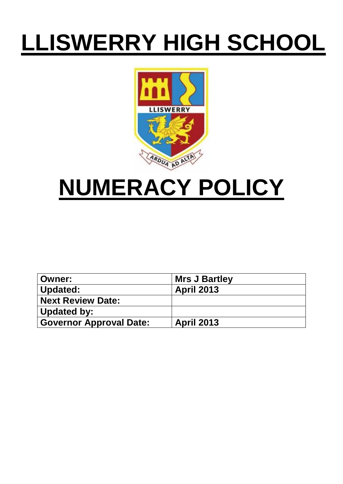# **LLISWERRY HIGH SCHOOL**



## **NUMERACY POLICY**

| <b>Owner:</b>                  | <b>Mrs J Bartley</b> |
|--------------------------------|----------------------|
| Updated:                       | <b>April 2013</b>    |
| <b>Next Review Date:</b>       |                      |
| Updated by:                    |                      |
| <b>Governor Approval Date:</b> | <b>April 2013</b>    |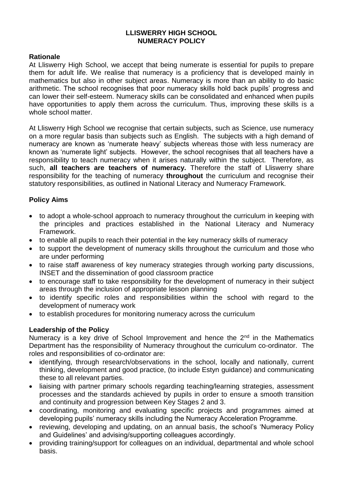#### **LLISWERRY HIGH SCHOOL NUMERACY POLICY**

#### **Rationale**

At Lliswerry High School, we accept that being numerate is essential for pupils to prepare them for adult life. We realise that numeracy is a proficiency that is developed mainly in mathematics but also in other subject areas. Numeracy is more than an ability to do basic arithmetic. The school recognises that poor numeracy skills hold back pupils' progress and can lower their self-esteem. Numeracy skills can be consolidated and enhanced when pupils have opportunities to apply them across the curriculum. Thus, improving these skills is a whole school matter.

At Lliswerry High School we recognise that certain subjects, such as Science, use numeracy on a more regular basis than subjects such as English. The subjects with a high demand of numeracy are known as 'numerate heavy' subjects whereas those with less numeracy are known as 'numerate light' subjects. However, the school recognises that all teachers have a responsibility to teach numeracy when it arises naturally within the subject. Therefore, as such, **all teachers are teachers of numeracy.** Therefore the staff of Lliswerry share responsibility for the teaching of numeracy **throughout** the curriculum and recognise their statutory responsibilities, as outlined in National Literacy and Numeracy Framework.

#### **Policy Aims**

- to adopt a whole-school approach to numeracy throughout the curriculum in keeping with the principles and practices established in the National Literacy and Numeracy Framework.
- to enable all pupils to reach their potential in the key numeracy skills of numeracy
- to support the development of numeracy skills throughout the curriculum and those who are under performing
- to raise staff awareness of key numeracy strategies through working party discussions, INSET and the dissemination of good classroom practice
- to encourage staff to take responsibility for the development of numeracy in their subject areas through the inclusion of appropriate lesson planning
- to identify specific roles and responsibilities within the school with regard to the development of numeracy work
- to establish procedures for monitoring numeracy across the curriculum

#### **Leadership of the Policy**

Numeracy is a key drive of School Improvement and hence the 2<sup>nd</sup> in the Mathematics Department has the responsibility of Numeracy throughout the curriculum co-ordinator. The roles and responsibilities of co-ordinator are:

- identifying, through research/observations in the school, locally and nationally, current thinking, development and good practice, (to include Estyn guidance) and communicating these to all relevant parties.
- liaising with partner primary schools regarding teaching/learning strategies, assessment processes and the standards achieved by pupils in order to ensure a smooth transition and continuity and progression between Key Stages 2 and 3.
- coordinating, monitoring and evaluating specific projects and programmes aimed at developing pupils' numeracy skills including the Numeracy Acceleration Programme.
- reviewing, developing and updating, on an annual basis, the school's 'Numeracy Policy and Guidelines' and advising/supporting colleagues accordingly.
- providing training/support for colleagues on an individual, departmental and whole school basis.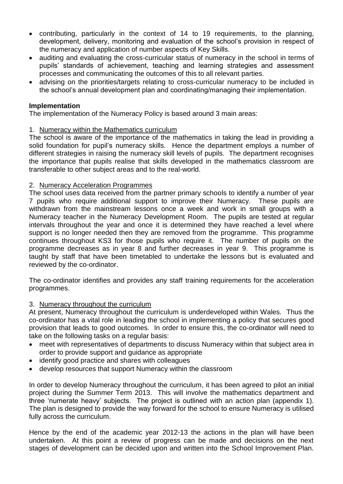- contributing, particularly in the context of 14 to 19 requirements, to the planning, development, delivery, monitoring and evaluation of the school's provision in respect of the numeracy and application of number aspects of Key Skills.
- auditing and evaluating the cross-curricular status of numeracy in the school in terms of pupils' standards of achievement, teaching and learning strategies and assessment processes and communicating the outcomes of this to all relevant parties.
- advising on the priorities/targets relating to cross-curricular numeracy to be included in the school's annual development plan and coordinating/managing their implementation.

#### **Implementation**

The implementation of the Numeracy Policy is based around 3 main areas:

#### 1. Numeracy within the Mathematics curriculum

The school is aware of the importance of the mathematics in taking the lead in providing a solid foundation for pupil's numeracy skills. Hence the department employs a number of different strategies in raising the numeracy skill levels of pupils. The department recognises the importance that pupils realise that skills developed in the mathematics classroom are transferable to other subject areas and to the real-world.

#### 2. Numeracy Acceleration Programmes

The school uses data received from the partner primary schools to identify a number of year 7 pupils who require additional support to improve their Numeracy. These pupils are withdrawn from the mainstream lessons once a week and work in small groups with a Numeracy teacher in the Numeracy Development Room. The pupils are tested at regular intervals throughout the year and once it is determined they have reached a level where support is no longer needed then they are removed from the programme. This programme continues throughout KS3 for those pupils who require it. The number of pupils on the programme decreases as in year 8 and further decreases in year 9. This programme is taught by staff that have been timetabled to undertake the lessons but is evaluated and reviewed by the co-ordinator.

The co-ordinator identifies and provides any staff training requirements for the acceleration programmes.

#### 3. Numeracy throughout the curriculum

At present, Numeracy throughout the curriculum is underdeveloped within Wales. Thus the co-ordinator has a vital role in leading the school in implementing a policy that secures good provision that leads to good outcomes. In order to ensure this, the co-ordinator will need to take on the following tasks on a regular basis:

- meet with representatives of departments to discuss Numeracy within that subject area in order to provide support and guidance as appropriate
- identify good practice and shares with colleagues
- develop resources that support Numeracy within the classroom

In order to develop Numeracy throughout the curriculum, it has been agreed to pilot an initial project during the Summer Term 2013. This will involve the mathematics department and three 'numerate heavy' subjects. The project is outlined with an action plan (appendix 1). The plan is designed to provide the way forward for the school to ensure Numeracy is utilised fully across the curriculum.

Hence by the end of the academic year 2012-13 the actions in the plan will have been undertaken. At this point a review of progress can be made and decisions on the next stages of development can be decided upon and written into the School Improvement Plan.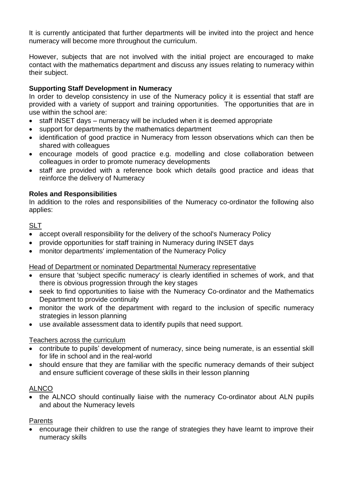It is currently anticipated that further departments will be invited into the project and hence numeracy will become more throughout the curriculum.

However, subjects that are not involved with the initial project are encouraged to make contact with the mathematics department and discuss any issues relating to numeracy within their subject.

#### **Supporting Staff Development in Numeracy**

In order to develop consistency in use of the Numeracy policy it is essential that staff are provided with a variety of support and training opportunities. The opportunities that are in use within the school are:

- staff INSET days numeracy will be included when it is deemed appropriate
- support for departments by the mathematics department
- identification of good practice in Numeracy from lesson observations which can then be shared with colleagues
- encourage models of good practice e.g. modelling and close collaboration between colleagues in order to promote numeracy developments
- staff are provided with a reference book which details good practice and ideas that reinforce the delivery of Numeracy

#### **Roles and Responsibilities**

In addition to the roles and responsibilities of the Numeracy co-ordinator the following also applies:

#### SLT

- accept overall responsibility for the delivery of the school's Numeracy Policy
- provide opportunities for staff training in Numeracy during INSET days
- monitor departments' implementation of the Numeracy Policy

Head of Department or nominated Departmental Numeracy representative

- ensure that 'subject specific numeracy' is clearly identified in schemes of work, and that there is obvious progression through the key stages
- seek to find opportunities to liaise with the Numeracy Co-ordinator and the Mathematics Department to provide continuity
- monitor the work of the department with regard to the inclusion of specific numeracy strategies in lesson planning
- use available assessment data to identify pupils that need support.

#### Teachers across the curriculum

- contribute to pupils' development of numeracy, since being numerate, is an essential skill for life in school and in the real-world
- should ensure that they are familiar with the specific numeracy demands of their subject and ensure sufficient coverage of these skills in their lesson planning

#### ALNCO

 the ALNCO should continually liaise with the numeracy Co-ordinator about ALN pupils and about the Numeracy levels

#### Parents

 encourage their children to use the range of strategies they have learnt to improve their numeracy skills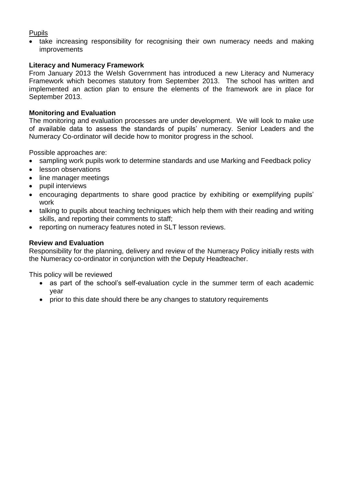#### Pupils

• take increasing responsibility for recognising their own numeracy needs and making improvements

#### **Literacy and Numeracy Framework**

From January 2013 the Welsh Government has introduced a new Literacy and Numeracy Framework which becomes statutory from September 2013. The school has written and implemented an action plan to ensure the elements of the framework are in place for September 2013.

#### **Monitoring and Evaluation**

The monitoring and evaluation processes are under development. We will look to make use of available data to assess the standards of pupils' numeracy. Senior Leaders and the Numeracy Co-ordinator will decide how to monitor progress in the school.

Possible approaches are:

- sampling work pupils work to determine standards and use Marking and Feedback policy
- lesson observations
- line manager meetings
- pupil interviews
- encouraging departments to share good practice by exhibiting or exemplifying pupils' work
- talking to pupils about teaching techniques which help them with their reading and writing skills, and reporting their comments to staff;
- reporting on numeracy features noted in SLT lesson reviews.

#### **Review and Evaluation**

Responsibility for the planning, delivery and review of the Numeracy Policy initially rests with the Numeracy co-ordinator in conjunction with the Deputy Headteacher.

This policy will be reviewed

- as part of the school's self-evaluation cycle in the summer term of each academic year
- prior to this date should there be any changes to statutory requirements